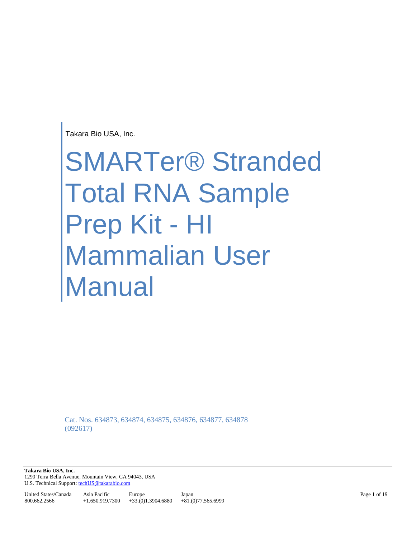Takara Bio USA, Inc.

# SMARTer® Stranded Total RNA Sample Prep Kit - HI Mammalian User Manual

Cat. Nos. 634873, 634874, 634875, 634876, 634877, 634878 (092617)

**Takara Bio USA, Inc.**  1290 Terra Bella Avenue, Mountain View, CA 94043, USA U.S. Technical Support[: techUS@takarabio.com](mailto:techUS@takarabio.com)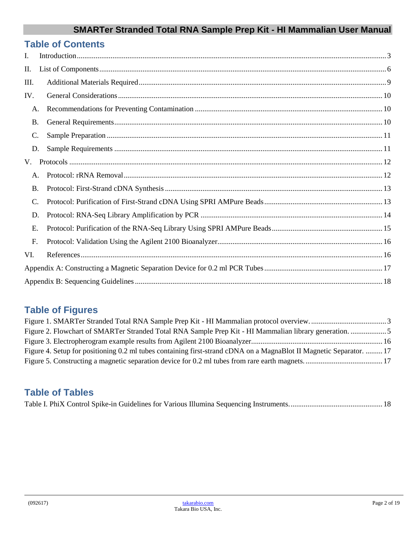|           | <b>Table of Contents</b> |  |
|-----------|--------------------------|--|
| L         |                          |  |
| П.        |                          |  |
| III.      |                          |  |
| IV.       |                          |  |
| A.        |                          |  |
| <b>B.</b> |                          |  |
| C.        |                          |  |
| D.        |                          |  |
| V.        |                          |  |
| A.        |                          |  |
| <b>B.</b> |                          |  |
| C.        |                          |  |
| D.        |                          |  |
| E.        |                          |  |
| F.        |                          |  |
| VI.       |                          |  |
|           |                          |  |
|           |                          |  |

# **Table of Figures**

| Figure 2. Flowchart of SMARTer Stranded Total RNA Sample Prep Kit - HI Mammalian library generation. 5              |  |
|---------------------------------------------------------------------------------------------------------------------|--|
|                                                                                                                     |  |
| Figure 4. Setup for positioning 0.2 ml tubes containing first-strand cDNA on a MagnaBlot II Magnetic Separator.  17 |  |
|                                                                                                                     |  |

# **Table of Tables**

|--|--|--|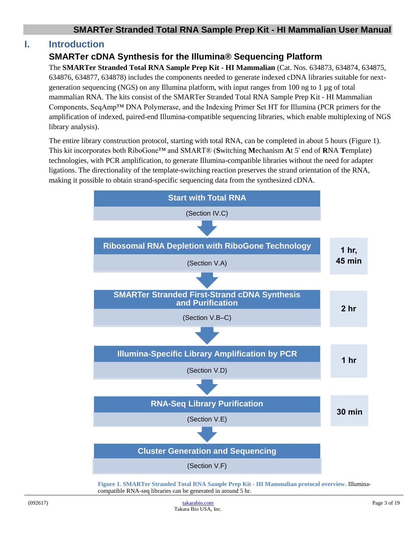#### <span id="page-2-0"></span>**I. Introduction**

#### **SMARTer cDNA Synthesis for the Illumina® Sequencing Platform**

The **SMARTer Stranded Total RNA Sample Prep Kit - HI Mammalian** (Cat. Nos. 634873, 634874, 634875, 634876, 634877, 634878) includes the components needed to generate indexed cDNA libraries suitable for nextgeneration sequencing (NGS) on any Illumina platform, with input ranges from 100 ng to 1  $\mu$ g of total mammalian RNA. The kits consist of the SMARTer Stranded Total RNA Sample Prep Kit - HI Mammalian Components, SeqAmp™ DNA Polymerase, and the Indexing Primer Set HT for Illumina (PCR primers for the amplification of indexed, paired-end Illumina-compatible sequencing libraries, which enable multiplexing of NGS library analysis).

The entire library construction protocol, starting with total RNA, can be completed in about 5 hours (Figure 1). This kit incorporates both RiboGone™ and SMART® (**S**witching **M**echanism **A**t 5' end of **R**NA **T**emplate) technologies, with PCR amplification, to generate Illumina-compatible libraries without the need for adapter ligations. The directionality of the template-switching reaction preserves the strand orientation of the RNA, making it possible to obtain strand-specific sequencing data from the synthesized cDNA.



<span id="page-2-1"></span>**Figure 1. SMARTer Stranded Total RNA Sample Prep Kit - HI Mammalian protocol overview.** Illuminacompatible RNA-seq libraries can be generated in around 5 hr.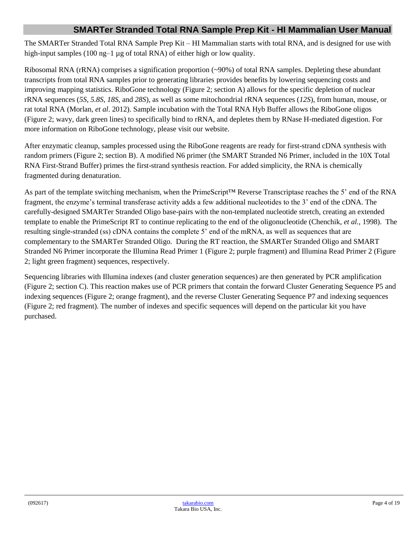The SMARTer Stranded Total RNA Sample Prep Kit – HI Mammalian starts with total RNA, and is designed for use with high-input samples (100 ng–1 µg of total RNA) of either high or low quality.

Ribosomal RNA (rRNA) comprises a signification proportion (~90%) of total RNA samples. Depleting these abundant transcripts from total RNA samples prior to generating libraries provides benefits by lowering sequencing costs and improving mapping statistics. RiboGone technology (Figure 2; section A) allows for the specific depletion of nuclear rRNA sequences (*5S*, *5.8S*, *18S*, and *28S*), as well as some mitochondrial rRNA sequences (*12S*), from human, mouse, or rat total RNA (Morlan, *et al*. 2012). Sample incubation with the Total RNA Hyb Buffer allows the RiboGone oligos (Figure 2; wavy, dark green lines) to specifically bind to rRNA, and depletes them by RNase H-mediated digestion. For more information on RiboGone technology, please visit our website.

After enzymatic cleanup, samples processed using the RiboGone reagents are ready for first-strand cDNA synthesis with random primers (Figure 2; section B). A modified N6 primer (the SMART Stranded N6 Primer, included in the 10X Total RNA First-Strand Buffer) primes the first-strand synthesis reaction. For added simplicity, the RNA is chemically fragmented during denaturation.

As part of the template switching mechanism, when the PrimeScript<sup>™</sup> Reverse Transcriptase reaches the 5' end of the RNA fragment, the enzyme's terminal transferase activity adds a few additional nucleotides to the 3' end of the cDNA. The carefully-designed SMARTer Stranded Oligo base-pairs with the non-templated nucleotide stretch, creating an extended template to enable the PrimeScript RT to continue replicating to the end of the oligonucleotide (Chenchik, *et al.*, 1998). The resulting single-stranded (ss) cDNA contains the complete 5' end of the mRNA, as well as sequences that are complementary to the SMARTer Stranded Oligo. During the RT reaction, the SMARTer Stranded Oligo and SMART Stranded N6 Primer incorporate the Illumina Read Primer 1 (Figure 2; purple fragment) and Illumina Read Primer 2 (Figure 2; light green fragment) sequences, respectively.

Sequencing libraries with Illumina indexes (and cluster generation sequences) are then generated by PCR amplification (Figure 2; section C). This reaction makes use of PCR primers that contain the forward Cluster Generating Sequence P5 and indexing sequences (Figure 2; orange fragment), and the reverse Cluster Generating Sequence P7 and indexing sequences (Figure 2; red fragment). The number of indexes and specific sequences will depend on the particular kit you have purchased.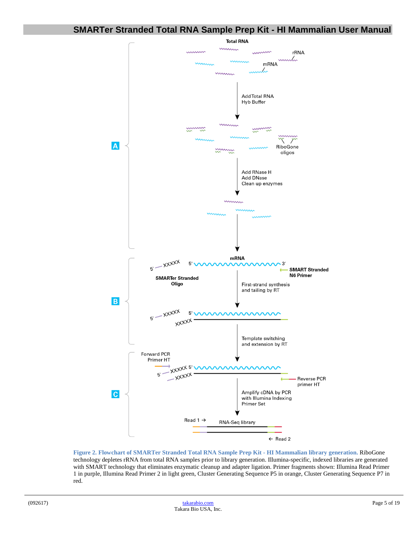

<span id="page-4-0"></span>**Figure 2. Flowchart of SMARTer Stranded Total RNA Sample Prep Kit - HI Mammalian library generation.** RiboGone technology depletes rRNA from total RNA samples prior to library generation. Illumina-specific, indexed libraries are generated with SMART technology that eliminates enzymatic cleanup and adapter ligation. Primer fragments shown: Illumina Read Primer 1 in purple, Illumina Read Primer 2 in light green, Cluster Generating Sequence P5 in orange, Cluster Generating Sequence P7 in red.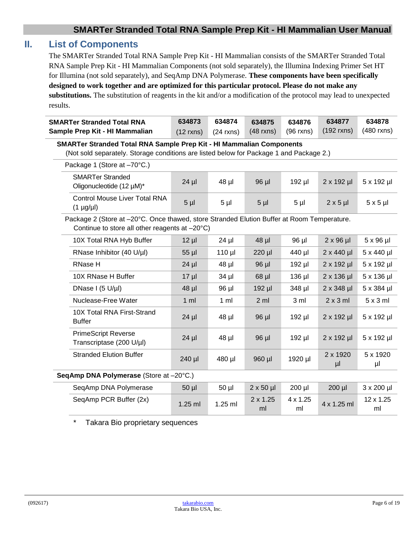# <span id="page-5-0"></span>**II. List of Components**

The SMARTer Stranded Total RNA Sample Prep Kit - HI Mammalian consists of the SMARTer Stranded Total RNA Sample Prep Kit - HI Mammalian Components (not sold separately), the Illumina Indexing Primer Set HT for Illumina (not sold separately), and SeqAmp DNA Polymerase. **These components have been specifically designed to work together and are optimized for this particular protocol. Please do not make any substitutions.** The substitution of reagents in the kit and/or a modification of the protocol may lead to unexpected results.

| <b>SMARTer Stranded Total RNA</b>                                                                                                            | 634873                                                                                                                                                          | 634874         | 634875                | 634876                | 634877            | 634878            |  |
|----------------------------------------------------------------------------------------------------------------------------------------------|-----------------------------------------------------------------------------------------------------------------------------------------------------------------|----------------|-----------------------|-----------------------|-------------------|-------------------|--|
| Sample Prep Kit - HI Mammalian                                                                                                               | $(12$ rxns)                                                                                                                                                     | $(24$ rxns)    | $(48$ rxns)           | $(96$ rxns)           | $(192$ rxns)      | (480 rxns)        |  |
|                                                                                                                                              | SMARTer Stranded Total RNA Sample Prep Kit - HI Mammalian Components<br>(Not sold separately. Storage conditions are listed below for Package 1 and Package 2.) |                |                       |                       |                   |                   |  |
| Package 1 (Store at -70°C.)                                                                                                                  |                                                                                                                                                                 |                |                       |                       |                   |                   |  |
|                                                                                                                                              |                                                                                                                                                                 |                |                       |                       |                   |                   |  |
| <b>SMARTer Stranded</b><br>Oligonucleotide (12 µM)*                                                                                          | $24$ µl                                                                                                                                                         | 48 µl          | 96 µl                 | 192 µl                | $2 \times 192$ µl | 5 x 192 µl        |  |
| <b>Control Mouse Liver Total RNA</b><br>$(1 \mu g/\mu l)$                                                                                    | 5 <sub>µ</sub>                                                                                                                                                  | $5 \mu$        | 5 <sub>µ</sub>        | $5 \mu$               | $2 \times 5$ µl   | $5 \times 5$ µl   |  |
| Package 2 (Store at -20°C. Once thawed, store Stranded Elution Buffer at Room Temperature.<br>Continue to store all other reagents at -20°C) |                                                                                                                                                                 |                |                       |                       |                   |                   |  |
| 10X Total RNA Hyb Buffer                                                                                                                     | $12 \mu$                                                                                                                                                        | $24$ µl        | 48 µl                 | 96 µl                 | $2 \times 96$ µl  | $5 \times 96$ µl  |  |
| RNase Inhibitor (40 U/µl)                                                                                                                    | $55$ $\mu$                                                                                                                                                      | 110 µl         | 220 µl                | 440 µl                | $2 \times 440$ µl | 5 x 440 µl        |  |
| <b>RNase H</b>                                                                                                                               | $24$ µl                                                                                                                                                         | 48 µl          | 96 µl                 | 192 µl                | $2 \times 192$ µl | 5 x 192 µl        |  |
| 10X RNase H Buffer                                                                                                                           | $17 \mu$                                                                                                                                                        | $34$ µ $\mid$  | $68$ µl               | 136 µl                | $2 \times 136$ µl | 5 x 136 µl        |  |
| DNase I (5 U/µI)                                                                                                                             | 48 µl                                                                                                                                                           | 96 µl          | 192 µl                | 348 µl                | $2 \times 348$ µl | 5 x 384 µl        |  |
| Nuclease-Free Water                                                                                                                          | $1$ ml                                                                                                                                                          | $1 \text{ ml}$ | 2 <sub>m</sub>        | 3 <sub>m</sub>        | $2 \times 3$ ml   | $5 \times 3$ ml   |  |
| 10X Total RNA First-Strand<br><b>Buffer</b>                                                                                                  | $24$ µl                                                                                                                                                         | 48 µl          | 96 µl                 | 192 µl                | $2 \times 192$ µl | 5 x 192 µl        |  |
| <b>PrimeScript Reverse</b><br>Transcriptase (200 U/µl)                                                                                       | $24$ µl                                                                                                                                                         | 48 µl          | 96 µl                 | 192 µl                | $2 \times 192$ µl | 5 x 192 µl        |  |
| <b>Stranded Elution Buffer</b>                                                                                                               | 240 µl                                                                                                                                                          | 480 µl         | 960 µl                | 1920 µl               | 2 x 1920<br>$\mu$ | 5 x 1920<br>$\mu$ |  |
| SeqAmp DNA Polymerase (Store at -20°C.)                                                                                                      |                                                                                                                                                                 |                |                       |                       |                   |                   |  |
| SeqAmp DNA Polymerase                                                                                                                        | $50$ $\mu$                                                                                                                                                      | 50 µl          | $2 \times 50$ µl      | 200 µl                | 200 µl            | 3 x 200 µl        |  |
| SeqAmp PCR Buffer (2x)                                                                                                                       | 1.25 ml                                                                                                                                                         | 1.25 ml        | $2 \times 1.25$<br>ml | $4 \times 1.25$<br>ml | 4 x 1.25 ml       | 12 x 1.25<br>ml   |  |

\* Takara Bio proprietary sequences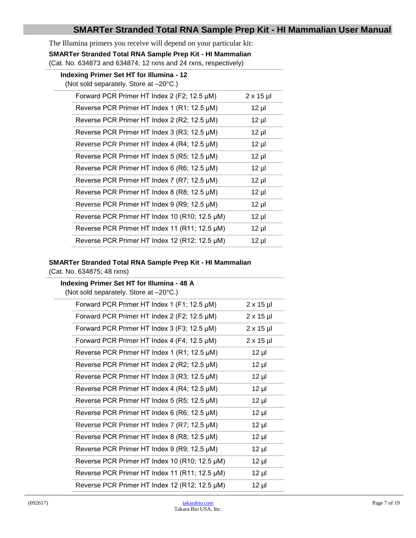The Illumina primers you receive will depend on your particular kit:

**SMARTer Stranded Total RNA Sample Prep Kit - HI Mammalian**

(Cat. No. 634873 and 634874; 12 rxns and 24 rxns, respectively)

| Indexing Primer Set HT for Illumina - 12<br>(Not sold separately. Store at -20°C.) |                                               |                  |
|------------------------------------------------------------------------------------|-----------------------------------------------|------------------|
|                                                                                    | Forward PCR Primer HT Index 2 (F2; 12.5 µM)   | $2 \times 15$ µl |
|                                                                                    | Reverse PCR Primer HT Index 1 (R1; 12.5 µM)   | $12 \mu$         |
|                                                                                    | Reverse PCR Primer HT Index 2 (R2; 12.5 µM)   | $12 \mu$         |
|                                                                                    | Reverse PCR Primer HT Index 3 (R3; 12.5 µM)   | $12 \mu$         |
|                                                                                    | Reverse PCR Primer HT Index 4 (R4; 12.5 µM)   | $12 \mu$         |
|                                                                                    | Reverse PCR Primer HT Index 5 (R5; 12.5 µM)   | $12 \mu$         |
|                                                                                    | Reverse PCR Primer HT Index 6 (R6; 12.5 µM)   | $12 \mu$         |
|                                                                                    | Reverse PCR Primer HT Index 7 (R7; 12.5 µM)   | $12 \mu$         |
|                                                                                    | Reverse PCR Primer HT Index 8 (R8; 12.5 µM)   | $12 \mu$         |
|                                                                                    | Reverse PCR Primer HT Index 9 (R9; 12.5 µM)   | $12 \mu$         |
|                                                                                    | Reverse PCR Primer HT Index 10 (R10; 12.5 µM) | $12 \mu$         |
|                                                                                    | Reverse PCR Primer HT Index 11 (R11; 12.5 µM) | $12 \mu$         |
|                                                                                    | Reverse PCR Primer HT Index 12 (R12; 12.5 µM) | $12 \mu$         |
|                                                                                    |                                               |                  |

#### **SMARTer Stranded Total RNA Sample Prep Kit - HI Mammalian**

(Cat. No. 634875; 48 rxns)

| Indexing Primer Set HT for Illumina - 48 A<br>(Not sold separately. Store at -20°C.) |                  |  |  |
|--------------------------------------------------------------------------------------|------------------|--|--|
| Forward PCR Primer HT Index 1 (F1; 12.5 µM)                                          | $2 \times 15$ µl |  |  |
| Forward PCR Primer HT Index 2 (F2; 12.5 µM)                                          | $2 \times 15$ µl |  |  |
| Forward PCR Primer HT Index 3 (F3; 12.5 µM)                                          | $2 \times 15$ µl |  |  |
| Forward PCR Primer HT Index 4 (F4; 12.5 µM)                                          | $2 \times 15$ µl |  |  |
| Reverse PCR Primer HT Index 1 (R1; 12.5 µM)                                          | $12 \mu$         |  |  |
| Reverse PCR Primer HT Index 2 (R2; 12.5 µM)                                          | $12 \mu$         |  |  |
| Reverse PCR Primer HT Index 3 (R3; 12.5 µM)                                          | $12 \mu$         |  |  |
| Reverse PCR Primer HT Index 4 (R4; 12.5 µM)                                          | $12 \mu$         |  |  |
| Reverse PCR Primer HT Index 5 (R5; 12.5 µM)                                          | $12 \mu$         |  |  |
| Reverse PCR Primer HT Index 6 (R6; 12.5 µM)                                          | $12 \mu$         |  |  |
| Reverse PCR Primer HT Index 7 (R7; 12.5 µM)                                          | $12 \mu$         |  |  |
| Reverse PCR Primer HT Index 8 (R8; 12.5 µM)                                          | $12 \mu$         |  |  |
| Reverse PCR Primer HT Index 9 (R9; 12.5 µM)                                          | $12 \mu$         |  |  |
| Reverse PCR Primer HT Index 10 (R10; 12.5 µM)                                        | $12 \mu$         |  |  |
| Reverse PCR Primer HT Index 11 (R11; 12.5 µM)                                        | $12 \mu$         |  |  |
| Reverse PCR Primer HT Index 12 (R12; 12.5 µM)                                        | $12 \mu$         |  |  |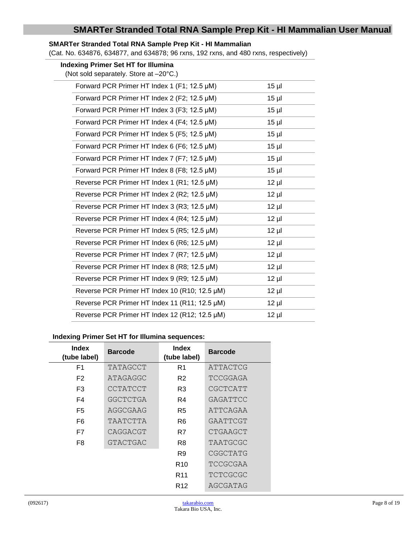#### **SMARTer Stranded Total RNA Sample Prep Kit - HI Mammalian**

 $\overline{\phantom{0}}$ 

(Cat. No. 634876, 634877, and 634878; 96 rxns, 192 rxns, and 480 rxns, respectively)

| <b>Indexing Primer Set HT for Illumina</b><br>(Not sold separately. Store at -20°C.) |          |
|--------------------------------------------------------------------------------------|----------|
| Forward PCR Primer HT Index 1 (F1; 12.5 µM)                                          | $15$ µl  |
| Forward PCR Primer HT Index 2 (F2; 12.5 µM)                                          | $15$ µl  |
| Forward PCR Primer HT Index 3 (F3; 12.5 µM)                                          | $15$ µl  |
| Forward PCR Primer HT Index 4 (F4; 12.5 µM)                                          | $15 \mu$ |
| Forward PCR Primer HT Index 5 (F5; 12.5 µM)                                          | $15$ µl  |
| Forward PCR Primer HT Index 6 (F6; 12.5 µM)                                          | $15$ µl  |
| Forward PCR Primer HT Index 7 (F7; 12.5 µM)                                          | $15 \mu$ |
| Forward PCR Primer HT Index 8 (F8; 12.5 µM)                                          | $15$ µl  |
| Reverse PCR Primer HT Index 1 (R1; 12.5 µM)                                          | $12 \mu$ |
| Reverse PCR Primer HT Index 2 (R2; 12.5 µM)                                          | $12 \mu$ |
| Reverse PCR Primer HT Index 3 (R3; 12.5 µM)                                          | $12 \mu$ |
| Reverse PCR Primer HT Index 4 (R4; 12.5 µM)                                          | $12 \mu$ |
| Reverse PCR Primer HT Index 5 (R5; 12.5 µM)                                          | $12 \mu$ |
| Reverse PCR Primer HT Index 6 (R6; 12.5 µM)                                          | $12 \mu$ |
| Reverse PCR Primer HT Index 7 (R7; 12.5 µM)                                          | $12 \mu$ |
| Reverse PCR Primer HT Index 8 (R8; 12.5 µM)                                          | $12 \mu$ |
| Reverse PCR Primer HT Index 9 (R9; 12.5 µM)                                          | $12 \mu$ |
| Reverse PCR Primer HT Index 10 (R10; 12.5 µM)                                        | $12 \mu$ |
| Reverse PCR Primer HT Index 11 (R11; 12.5 µM)                                        | $12 \mu$ |
| Reverse PCR Primer HT Index 12 (R12; 12.5 µM)                                        | $12 \mu$ |

#### **Indexing Primer Set HT for Illumina sequences:**

| Index<br>(tube label) | <b>Barcode</b> | Index<br>(tube label) | <b>Barcode</b> |
|-----------------------|----------------|-----------------------|----------------|
| F <sub>1</sub>        | TATAGCCT       | R1                    | ATTACTCG       |
| F <sub>2</sub>        | ATAGAGGC       | R <sub>2</sub>        | TCCGGAGA       |
| F <sub>3</sub>        | CCTATCCT       | R3                    | CGCTCATT       |
| F4                    | GGCTCTGA       | R4                    | GAGATTCC       |
| F5                    | AGGCGAAG       | R5                    | ATTCAGAA       |
| F6                    | TAATCTTA       | R <sub>6</sub>        | GAATTCGT       |
| F7                    | CAGGACGT       | R7                    | CTGAAGCT       |
| F8                    | GTACTGAC       | R8                    | TAATGCGC       |
|                       |                | R9                    | CGGCTATG       |
|                       |                | R <sub>10</sub>       | TCCGCGAA       |
|                       |                | R <sub>11</sub>       | TCTCGCGC       |
|                       |                | R <sub>12</sub>       | AGCGATAG       |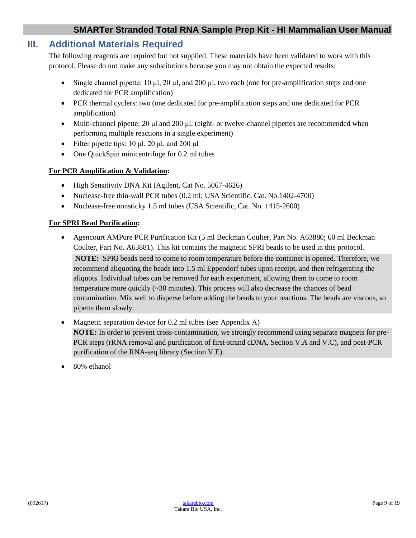## <span id="page-8-0"></span>**III. Additional Materials Required**

The following reagents are required but not supplied. These materials have been validated to work with this protocol. Please do not make any substitutions because you may not obtain the expected results:

- Single channel pipette:  $10 \mu l$ ,  $20 \mu l$ , and  $200 \mu l$ , two each (one for pre-amplification steps and one dedicated for PCR amplification)
- PCR thermal cyclers: two (one dedicated for pre-amplification steps and one dedicated for PCR amplification)
- Multi-channel pipette: 20 μl and 200 μl, (eight- or twelve-channel pipettes are recommended when performing multiple reactions in a single experiment)
- Filter pipette tips: 10 μl, 20 μl, and 200 μl
- One OuickSpin minicentrifuge for 0.2 ml tubes

#### **For PCR Amplification & Validation:**

- High Sensitivity DNA Kit (Agilent, Cat No. 5067-4626)
- Nuclease-free thin-wall PCR tubes (0.2 ml; USA Scientific, Cat. No.1402-4700)
- Nuclease-free nonsticky 1.5 ml tubes (USA Scientific, Cat. No. 1415-2600)

#### **For SPRI Bead Purification:**

• Agencourt AMPure PCR Purification Kit (5 ml Beckman Coulter, Part No. A63880; 60 ml Beckman Coulter, Part No. A63881). This kit contains the magnetic SPRI beads to be used in this protocol.

**NOTE:** SPRI beads need to come to room temperature before the container is opened. Therefore, we recommend aliquoting the beads into 1.5 ml Eppendorf tubes upon receipt, and then refrigerating the aliquots. Individual tubes can be removed for each experiment, allowing them to come to room temperature more quickly (~30 minutes). This process will also decrease the chances of bead contamination. Mix well to disperse before adding the beads to your reactions. The beads are viscous, so pipette them slowly.

- Magnetic separation device for 0.2 ml tubes (see Appendix A) **NOTE:** In order to prevent cross-contamination, we strongly recommend using separate magnets for pre-PCR steps (rRNA removal and purification of first-strand cDNA, Section V.A and V.C), and post-PCR purification of the RNA-seq library (Section V.E).
- 80% ethanol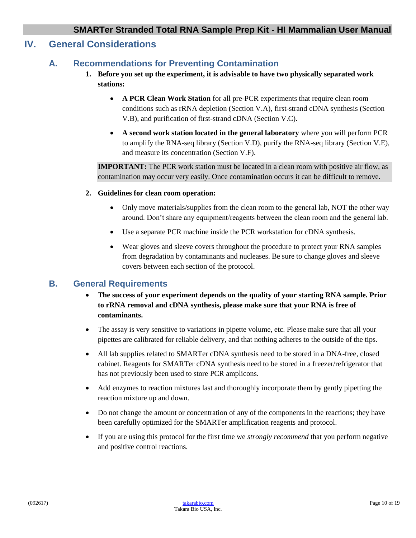## <span id="page-9-1"></span><span id="page-9-0"></span>**IV. General Considerations**

#### **A. Recommendations for Preventing Contamination**

- **1. Before you set up the experiment, it is advisable to have two physically separated work stations:** 
	- **A PCR Clean Work Station** for all pre-PCR experiments that require clean room conditions such as rRNA depletion (Section V.A), first-strand cDNA synthesis (Section V.B), and purification of first-strand cDNA (Section V.C).
	- **A second work station located in the general laboratory** where you will perform PCR to amplify the RNA-seq library (Section V.D), purify the RNA-seq library (Section V.E), and measure its concentration (Section V.F).

**IMPORTANT:** The PCR work station must be located in a clean room with positive air flow, as contamination may occur very easily. Once contamination occurs it can be difficult to remove.

- **2. Guidelines for clean room operation:**
	- Only move materials/supplies from the clean room to the general lab, NOT the other way around. Don't share any equipment/reagents between the clean room and the general lab.
	- Use a separate PCR machine inside the PCR workstation for cDNA synthesis.
	- Wear gloves and sleeve covers throughout the procedure to protect your RNA samples from degradation by contaminants and nucleases. Be sure to change gloves and sleeve covers between each section of the protocol.

#### <span id="page-9-2"></span>**B. General Requirements**

- **The success of your experiment depends on the quality of your starting RNA sample. Prior to rRNA removal and cDNA synthesis, please make sure that your RNA is free of contaminants.**
- The assay is very sensitive to variations in pipette volume, etc. Please make sure that all your pipettes are calibrated for reliable delivery, and that nothing adheres to the outside of the tips.
- All lab supplies related to SMARTer cDNA synthesis need to be stored in a DNA-free, closed cabinet. Reagents for SMARTer cDNA synthesis need to be stored in a freezer/refrigerator that has not previously been used to store PCR amplicons.
- Add enzymes to reaction mixtures last and thoroughly incorporate them by gently pipetting the reaction mixture up and down.
- Do not change the amount or concentration of any of the components in the reactions; they have been carefully optimized for the SMARTer amplification reagents and protocol.
- If you are using this protocol for the first time we *strongly recommend* that you perform negative and positive control reactions.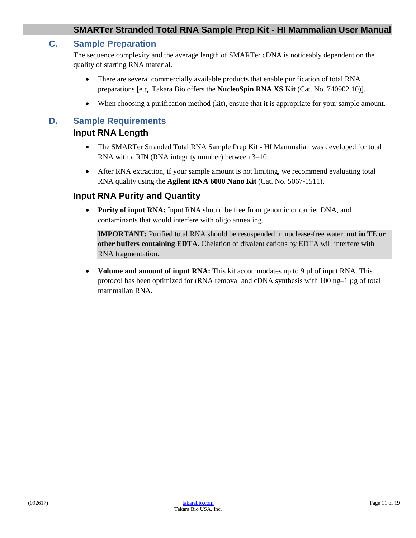#### <span id="page-10-0"></span>**C. Sample Preparation**

The sequence complexity and the average length of SMARTer cDNA is noticeably dependent on the quality of starting RNA material.

- There are several commercially available products that enable purification of total RNA preparations [e.g. Takara Bio offers the **NucleoSpin RNA XS Kit** (Cat. No. 740902.10)].
- When choosing a purification method (kit), ensure that it is appropriate for your sample amount.

## <span id="page-10-1"></span>**D. Sample Requirements**

#### **Input RNA Length**

- The SMARTer Stranded Total RNA Sample Prep Kit HI Mammalian was developed for total RNA with a RIN (RNA integrity number) between 3–10.
- After RNA extraction, if your sample amount is not limiting, we recommend evaluating total RNA quality using the **Agilent RNA 6000 Nano Kit** (Cat. No. 5067-1511).

#### **Input RNA Purity and Quantity**

• **Purity of input RNA:** Input RNA should be free from genomic or carrier DNA, and contaminants that would interfere with oligo annealing.

**IMPORTANT:** Purified total RNA should be resuspended in nuclease-free water, **not in TE or other buffers containing EDTA.** Chelation of divalent cations by EDTA will interfere with RNA fragmentation.

• **Volume and amount of input RNA:** This kit accommodates up to 9 µl of input RNA. This protocol has been optimized for rRNA removal and cDNA synthesis with  $100$  ng–1  $\mu$ g of total mammalian RNA.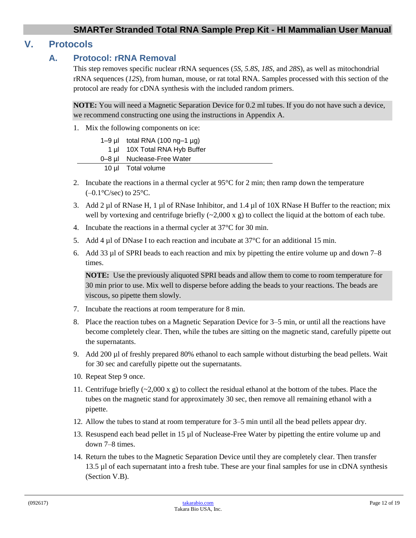## <span id="page-11-1"></span><span id="page-11-0"></span>**V. Protocols**

#### **A. Protocol: rRNA Removal**

This step removes specific nuclear rRNA sequences (*5S*, *5.8S*, *18S*, and *28S*), as well as mitochondrial rRNA sequences (*12S*), from human, mouse, or rat total RNA. Samples processed with this section of the protocol are ready for cDNA synthesis with the included random primers.

**NOTE:** You will need a Magnetic Separation Device for 0.2 ml tubes. If you do not have such a device, we recommend constructing one using the instructions in Appendix A.

1. Mix the following components on ice:

| 1–9 $\mu$ total RNA (100 ng–1 $\mu$ g) |
|----------------------------------------|
| 1 µl 10X Total RNA Hyb Buffer          |
| 0–8 µl Nuclease-Free Water             |
| 10 µl Total volume                     |

- 2. Incubate the reactions in a thermal cycler at  $95^{\circ}$ C for 2 min; then ramp down the temperature  $(-0.1\textdegree C/sec)$  to 25 $\textdegree C$ .
- 3. Add 2 µl of RNase H, 1 µl of RNase Inhibitor, and 1.4 µl of 10X RNase H Buffer to the reaction; mix well by vortexing and centrifuge briefly  $(\sim 2,000 \text{ x g})$  to collect the liquid at the bottom of each tube.
- 4. Incubate the reactions in a thermal cycler at 37°C for 30 min.
- 5. Add 4  $\mu$ l of DNase I to each reaction and incubate at 37 $\degree$ C for an additional 15 min.
- 6. Add 33 µl of SPRI beads to each reaction and mix by pipetting the entire volume up and down 7–8 times.

**NOTE:** Use the previously aliquoted SPRI beads and allow them to come to room temperature for 30 min prior to use. Mix well to disperse before adding the beads to your reactions. The beads are viscous, so pipette them slowly.

- 7. Incubate the reactions at room temperature for 8 min.
- 8. Place the reaction tubes on a Magnetic Separation Device for 3–5 min, or until all the reactions have become completely clear. Then, while the tubes are sitting on the magnetic stand, carefully pipette out the supernatants.
- 9. Add 200 µl of freshly prepared 80% ethanol to each sample without disturbing the bead pellets. Wait for 30 sec and carefully pipette out the supernatants.
- 10. Repeat Step 9 once.
- 11. Centrifuge briefly  $(\sim 2,000 \text{ x g})$  to collect the residual ethanol at the bottom of the tubes. Place the tubes on the magnetic stand for approximately 30 sec, then remove all remaining ethanol with a pipette.
- 12. Allow the tubes to stand at room temperature for 3–5 min until all the bead pellets appear dry.
- 13. Resuspend each bead pellet in 15 µl of Nuclease-Free Water by pipetting the entire volume up and down 7–8 times.
- 14. Return the tubes to the Magnetic Separation Device until they are completely clear. Then transfer 13.5 µl of each supernatant into a fresh tube. These are your final samples for use in cDNA synthesis (Section V.B).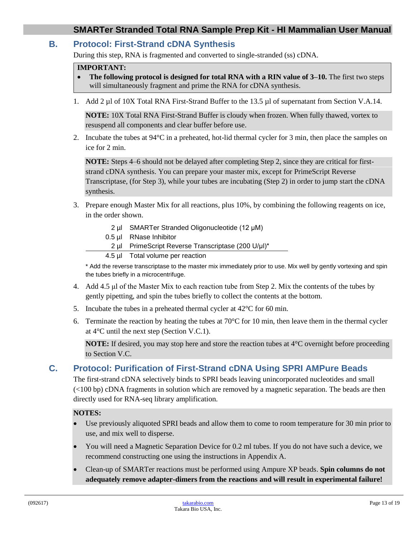#### <span id="page-12-0"></span>**B. Protocol: First-Strand cDNA Synthesis**

During this step, RNA is fragmented and converted to single-stranded (ss) cDNA.

#### **IMPORTANT:**

- **The following protocol is designed for total RNA with a RIN value of 3–10.** The first two steps will simultaneously fragment and prime the RNA for cDNA synthesis.
- 1. Add 2 µl of 10X Total RNA First-Strand Buffer to the 13.5 µl of supernatant from Section V.A.14.

**NOTE:** 10X Total RNA First-Strand Buffer is cloudy when frozen. When fully thawed, vortex to resuspend all components and clear buffer before use.

2. Incubate the tubes at 94°C in a preheated, hot-lid thermal cycler for 3 min, then place the samples on ice for 2 min.

**NOTE:** Steps 4–6 should not be delayed after completing Step 2, since they are critical for firststrand cDNA synthesis. You can prepare your master mix, except for PrimeScript Reverse Transcriptase, (for Step 3), while your tubes are incubating (Step 2) in order to jump start the cDNA synthesis.

- 3. Prepare enough Master Mix for all reactions, plus 10%, by combining the following reagents on ice, in the order shown.
	- 2 µl SMARTer Stranded Oligonucleotide (12 μM)
	- 0.5 µl RNase Inhibitor
	- 2 µl PrimeScript Reverse Transcriptase (200 U/μl)\*
	- 4.5 µl Total volume per reaction

\* Add the reverse transcriptase to the master mix immediately prior to use. Mix well by gently vortexing and spin the tubes briefly in a microcentrifuge.

- 4. Add 4.5 μl of the Master Mix to each reaction tube from Step 2. Mix the contents of the tubes by gently pipetting, and spin the tubes briefly to collect the contents at the bottom.
- 5. Incubate the tubes in a preheated thermal cycler at 42°C for 60 min.
- 6. Terminate the reaction by heating the tubes at  $70^{\circ}$ C for 10 min, then leave them in the thermal cycler at 4°C until the next step (Section V.C.1).

**NOTE:** If desired, you may stop here and store the reaction tubes at 4°C overnight before proceeding to Section V.C.

#### <span id="page-12-1"></span>**C. Protocol: Purification of First-Strand cDNA Using SPRI AMPure Beads**

The first-strand cDNA selectively binds to SPRI beads leaving unincorporated nucleotides and small (<100 bp) cDNA fragments in solution which are removed by a magnetic separation. The beads are then directly used for RNA-seq library amplification.

#### **NOTES:**

- Use previously aliquoted SPRI beads and allow them to come to room temperature for 30 min prior to use, and mix well to disperse.
- You will need a Magnetic Separation Device for 0.2 ml tubes. If you do not have such a device, we recommend constructing one using the instructions in Appendix A.
- Clean-up of SMARTer reactions must be performed using Ampure XP beads. **Spin columns do not adequately remove adapter-dimers from the reactions and will result in experimental failure!**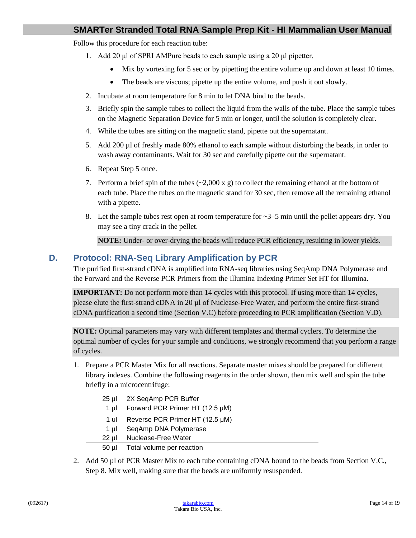Follow this procedure for each reaction tube:

- 1. Add 20 μl of SPRI AMPure beads to each sample using a 20 μl pipetter.
	- Mix by vortexing for 5 sec or by pipetting the entire volume up and down at least 10 times.
	- The beads are viscous; pipette up the entire volume, and push it out slowly.
- 2. Incubate at room temperature for 8 min to let DNA bind to the beads.
- 3. Briefly spin the sample tubes to collect the liquid from the walls of the tube. Place the sample tubes on the Magnetic Separation Device for 5 min or longer, until the solution is completely clear.
- 4. While the tubes are sitting on the magnetic stand, pipette out the supernatant.
- 5. Add 200 µl of freshly made 80% ethanol to each sample without disturbing the beads, in order to wash away contaminants. Wait for 30 sec and carefully pipette out the supernatant.
- 6. Repeat Step 5 once.
- 7. Perform a brief spin of the tubes  $(\sim 2,000 \text{ x g})$  to collect the remaining ethanol at the bottom of each tube. Place the tubes on the magnetic stand for 30 sec, then remove all the remaining ethanol with a pipette.
- 8. Let the sample tubes rest open at room temperature for  $\sim$ 3–5 min until the pellet appears dry. You may see a tiny crack in the pellet.

**NOTE:** Under- or over-drying the beads will reduce PCR efficiency, resulting in lower yields.

#### <span id="page-13-0"></span>**D. Protocol: RNA-Seq Library Amplification by PCR**

The purified first-strand cDNA is amplified into RNA-seq libraries using SeqAmp DNA Polymerase and the Forward and the Reverse PCR Primers from the Illumina Indexing Primer Set HT for Illumina.

**IMPORTANT:** Do not perform more than 14 cycles with this protocol. If using more than 14 cycles, please elute the first-strand cDNA in 20 µl of Nuclease-Free Water, and perform the entire first-strand cDNA purification a second time (Section V.C) before proceeding to PCR amplification (Section V.D).

**NOTE:** Optimal parameters may vary with different templates and thermal cyclers. To determine the optimal number of cycles for your sample and conditions, we strongly recommend that you perform a range of cycles.

- 1. Prepare a PCR Master Mix for all reactions. Separate master mixes should be prepared for different library indexes. Combine the following reagents in the order shown, then mix well and spin the tube briefly in a microcentrifuge:
	- 25 µl 2X SeqAmp PCR Buffer
	- 1 µl Forward PCR Primer HT (12.5 μM)
	- 1 ul Reverse PCR Primer HT (12.5 μM)
	- 1 µl SeqAmp DNA Polymerase
	- 22 µl Nuclease-Free Water

50 µl Total volume per reaction

2. Add 50 µl of PCR Master Mix to each tube containing cDNA bound to the beads from Section V.C., Step 8. Mix well, making sure that the beads are uniformly resuspended.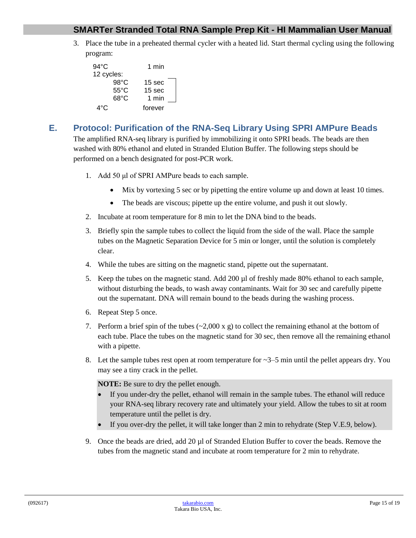3. Place the tube in a preheated thermal cycler with a heated lid. Start thermal cycling using the following program:

| 94°C           | 1 min             |
|----------------|-------------------|
| 12 cycles:     |                   |
| $98^{\circ}$ C | 15 sec            |
| 55°C           | 15 <sub>sec</sub> |
| 68°C           | 1 min             |
| 4°C            | forever           |

# <span id="page-14-0"></span>**E. Protocol: Purification of the RNA-Seq Library Using SPRI AMPure Beads**

The amplified RNA-seq library is purified by immobilizing it onto SPRI beads. The beads are then washed with 80% ethanol and eluted in Stranded Elution Buffer. The following steps should be performed on a bench designated for post-PCR work.

- 1. Add 50 μl of SPRI AMPure beads to each sample.
	- Mix by vortexing 5 sec or by pipetting the entire volume up and down at least 10 times.
	- The beads are viscous; pipette up the entire volume, and push it out slowly.
- 2. Incubate at room temperature for 8 min to let the DNA bind to the beads.
- 3. Briefly spin the sample tubes to collect the liquid from the side of the wall. Place the sample tubes on the Magnetic Separation Device for 5 min or longer, until the solution is completely clear.
- 4. While the tubes are sitting on the magnetic stand, pipette out the supernatant.
- 5. Keep the tubes on the magnetic stand. Add 200 µl of freshly made 80% ethanol to each sample, without disturbing the beads, to wash away contaminants. Wait for 30 sec and carefully pipette out the supernatant. DNA will remain bound to the beads during the washing process.
- 6. Repeat Step 5 once.
- 7. Perform a brief spin of the tubes  $\left(\sim 2,000 \text{ x g}\right)$  to collect the remaining ethanol at the bottom of each tube. Place the tubes on the magnetic stand for 30 sec, then remove all the remaining ethanol with a pipette.
- 8. Let the sample tubes rest open at room temperature for  $\sim$ 3–5 min until the pellet appears dry. You may see a tiny crack in the pellet.

**NOTE:** Be sure to dry the pellet enough.

- If you under-dry the pellet, ethanol will remain in the sample tubes. The ethanol will reduce your RNA-seq library recovery rate and ultimately your yield. Allow the tubes to sit at room temperature until the pellet is dry.
- If you over-dry the pellet, it will take longer than 2 min to rehydrate (Step V.E.9, below).
- 9. Once the beads are dried, add 20 µl of Stranded Elution Buffer to cover the beads. Remove the tubes from the magnetic stand and incubate at room temperature for 2 min to rehydrate.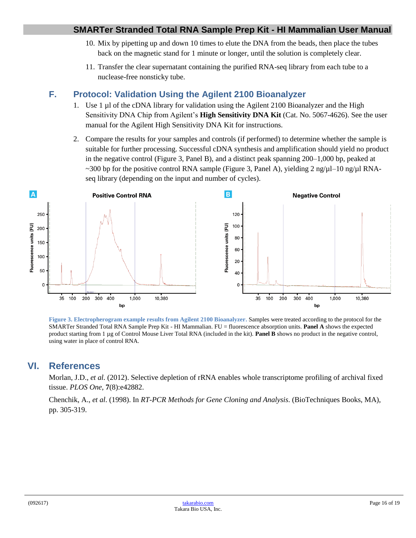- 10. Mix by pipetting up and down 10 times to elute the DNA from the beads, then place the tubes back on the magnetic stand for 1 minute or longer, until the solution is completely clear.
- 11. Transfer the clear supernatant containing the purified RNA-seq library from each tube to a nuclease-free nonsticky tube.

# <span id="page-15-0"></span>**F. Protocol: Validation Using the Agilent 2100 Bioanalyzer**

- 1. Use 1 µl of the cDNA library for validation using the Agilent 2100 Bioanalyzer and the High Sensitivity DNA Chip from Agilent's **High Sensitivity DNA Kit** (Cat. No. 5067-4626). See the user manual for the Agilent High Sensitivity DNA Kit for instructions.
- 2. Compare the results for your samples and controls (if performed) to determine whether the sample is suitable for further processing. Successful cDNA synthesis and amplification should yield no product in the negative control (Figure 3, Panel B), and a distinct peak spanning 200–1,000 bp, peaked at ~300 bp for the positive control RNA sample (Figure 3, Panel A), yielding  $2 \text{ ng}/\text{ul}-10 \text{ ng}/\text{ul}$  RNAseq library (depending on the input and number of cycles).



<span id="page-15-2"></span>**Figure 3. Electropherogram example results from Agilent 2100 Bioanalyzer.** Samples were treated according to the protocol for the SMARTer Stranded Total RNA Sample Prep Kit - HI Mammalian. FU = fluorescence absorption units. **Panel A** shows the expected product starting from 1 µg of Control Mouse Liver Total RNA (included in the kit). **Panel B** shows no product in the negative control, using water in place of control RNA.

# <span id="page-15-1"></span>**VI. References**

Morlan, J.D., *et al.* (2012). Selective depletion of rRNA enables whole transcriptome profiling of archival fixed tissue. *PLOS One*, **7**(8):e42882.

Chenchik, A., *et al*. (1998). In *RT-PCR Methods for Gene Cloning and Analysis*. (BioTechniques Books, MA), pp. 305-319.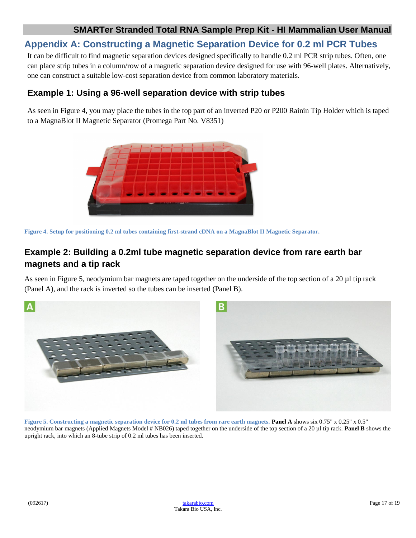# <span id="page-16-0"></span>**Appendix A: Constructing a Magnetic Separation Device for 0.2 ml PCR Tubes**

It can be difficult to find magnetic separation devices designed specifically to handle 0.2 ml PCR strip tubes. Often, one can place strip tubes in a column/row of a magnetic separation device designed for use with 96-well plates. Alternatively, one can construct a suitable low-cost separation device from common laboratory materials.

## **Example 1: Using a 96-well separation device with strip tubes**

As seen in Figure 4, you may place the tubes in the top part of an inverted P20 or P200 Rainin Tip Holder which is taped to a MagnaBlot II Magnetic Separator (Promega Part No. V8351)



<span id="page-16-1"></span>**Figure 4. Setup for positioning 0.2 ml tubes containing first-strand cDNA on a MagnaBlot II Magnetic Separator.**

# **Example 2: Building a 0.2ml tube magnetic separation device from rare earth bar magnets and a tip rack**

As seen in Figure 5, neodymium bar magnets are taped together on the underside of the top section of a 20 µl tip rack (Panel A), and the rack is inverted so the tubes can be inserted (Panel B).



<span id="page-16-2"></span>**Figure 5. Constructing a magnetic separation device for 0.2 ml tubes from rare earth magnets. Panel A** shows six 0.75" x 0.25" x 0.5" neodymium bar magnets (Applied Magnets Model # NB026) taped together on the underside of the top section of a 20 µl tip rack. **Panel B** shows the upright rack, into which an 8-tube strip of 0.2 ml tubes has been inserted.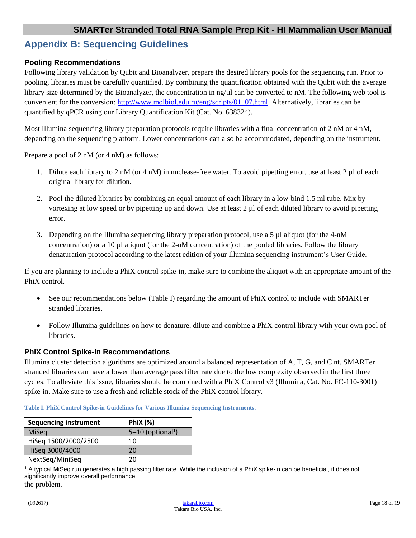## <span id="page-17-0"></span>**Appendix B: Sequencing Guidelines**

#### **Pooling Recommendations**

Following library validation by Qubit and Bioanalyzer, prepare the desired library pools for the sequencing run. Prior to pooling, libraries must be carefully quantified. By combining the quantification obtained with the Qubit with the average library size determined by the Bioanalyzer, the concentration in ng/µl can be converted to nM. The following web tool is convenient for the conversion: [http://www.molbiol.edu.ru/eng/scripts/01\\_07.html.](http://www.molbiol.edu.ru/eng/scripts/01_07.html) Alternatively, libraries can be quantified by qPCR using our Library Quantification Kit (Cat. No. 638324).

Most Illumina sequencing library preparation protocols require libraries with a final concentration of  $2 \text{ nM or } 4 \text{ nM}$ , depending on the sequencing platform. Lower concentrations can also be accommodated, depending on the instrument.

Prepare a pool of 2 nM (or 4 nM) as follows:

- 1. Dilute each library to 2 nM (or 4 nM) in nuclease-free water. To avoid pipetting error, use at least  $2 \mu$ l of each original library for dilution.
- 2. Pool the diluted libraries by combining an equal amount of each library in a low-bind 1.5 ml tube. Mix by vortexing at low speed or by pipetting up and down. Use at least  $2 \mu$  of each diluted library to avoid pipetting error.
- 3. Depending on the Illumina sequencing library preparation protocol, use a 5 µl aliquot (for the 4-nM concentration) or a 10 µl aliquot (for the 2-nM concentration) of the pooled libraries. Follow the library denaturation protocol according to the latest edition of your Illumina sequencing instrument's User Guide.

If you are planning to include a PhiX control spike-in, make sure to combine the aliquot with an appropriate amount of the PhiX control.

- See our recommendations below (Table I) regarding the amount of PhiX control to include with SMARTer stranded libraries.
- Follow Illumina guidelines on how to denature, dilute and combine a PhiX control library with your own pool of libraries.

#### **PhiX Control Spike-In Recommendations**

Illumina cluster detection algorithms are optimized around a balanced representation of A, T, G, and C nt. SMARTer stranded libraries can have a lower than average pass filter rate due to the low complexity observed in the first three cycles. To alleviate this issue, libraries should be combined with a PhiX Control v3 (Illumina, Cat. No. FC-110-3001) spike-in. Make sure to use a fresh and reliable stock of the PhiX control library.

<span id="page-17-1"></span>

|  | Table I. PhiX Control Spike-in Guidelines for Various Illumina Sequencing Instruments. |
|--|----------------------------------------------------------------------------------------|
|--|----------------------------------------------------------------------------------------|

| <b>Sequencing instrument</b> | <b>PhiX</b> (%)                 |
|------------------------------|---------------------------------|
| MiSeg                        | $5-10$ (optional <sup>1</sup> ) |
| HiSeq 1500/2000/2500         | 10                              |
| HiSeg 3000/4000              | 20                              |
| NextSeq/MiniSeq              | 20                              |

<sup>1</sup> A typical MiSeq run generates a high passing filter rate. While the inclusion of a PhiX spike-in can be beneficial, it does not significantly improve overall performance. the problem.